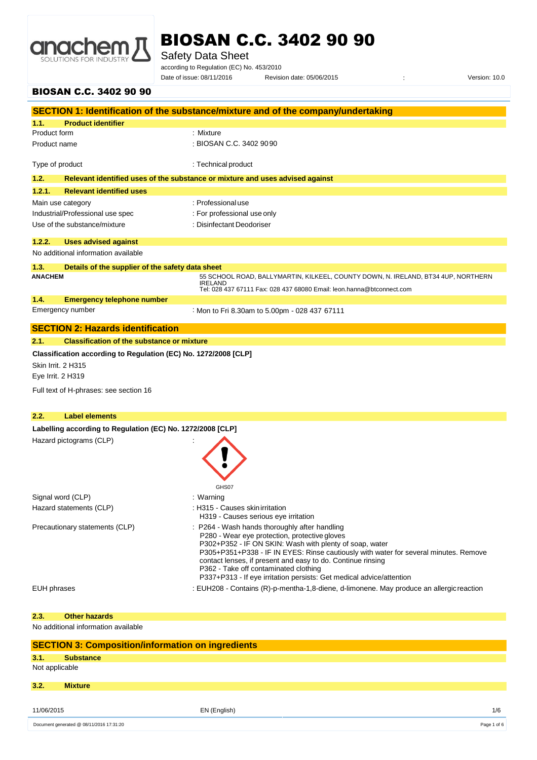

Safety Data Sheet

according to Regulation (EC) No. 453/2010

Date of issue: 08/11/2016 Revision date: 05/06/2015 <br>Version: 10.0

#### BIOSAN C.C. 3402 90 90

|                                         |                                                                                                           | SECTION 1: Identification of the substance/mixture and of the company/undertaking                                                                                                                                                                                                                                                                                                                                                 |
|-----------------------------------------|-----------------------------------------------------------------------------------------------------------|-----------------------------------------------------------------------------------------------------------------------------------------------------------------------------------------------------------------------------------------------------------------------------------------------------------------------------------------------------------------------------------------------------------------------------------|
| 1.1.                                    | <b>Product identifier</b>                                                                                 |                                                                                                                                                                                                                                                                                                                                                                                                                                   |
| Product form                            |                                                                                                           | : Mixture                                                                                                                                                                                                                                                                                                                                                                                                                         |
| Product name                            |                                                                                                           | : BIOSAN C.C. 3402 9090                                                                                                                                                                                                                                                                                                                                                                                                           |
| Type of product                         |                                                                                                           | : Technical product                                                                                                                                                                                                                                                                                                                                                                                                               |
| 1.2.                                    |                                                                                                           | Relevant identified uses of the substance or mixture and uses advised against                                                                                                                                                                                                                                                                                                                                                     |
| 1.2.1.                                  | <b>Relevant identified uses</b>                                                                           |                                                                                                                                                                                                                                                                                                                                                                                                                                   |
|                                         | Main use category                                                                                         | : Professional use                                                                                                                                                                                                                                                                                                                                                                                                                |
|                                         | Industrial/Professional use spec                                                                          | : For professional use only                                                                                                                                                                                                                                                                                                                                                                                                       |
|                                         | Use of the substance/mixture                                                                              | : Disinfectant Deodoriser                                                                                                                                                                                                                                                                                                                                                                                                         |
| 1.2.2.                                  | <b>Uses advised against</b>                                                                               |                                                                                                                                                                                                                                                                                                                                                                                                                                   |
|                                         | No additional information available                                                                       |                                                                                                                                                                                                                                                                                                                                                                                                                                   |
| 1.3.                                    | Details of the supplier of the safety data sheet                                                          |                                                                                                                                                                                                                                                                                                                                                                                                                                   |
| <b>ANACHEM</b>                          |                                                                                                           | 55 SCHOOL ROAD, BALLYMARTIN, KILKEEL, COUNTY DOWN, N. IRELAND, BT34 4UP, NORTHERN<br><b>IRELAND</b>                                                                                                                                                                                                                                                                                                                               |
|                                         |                                                                                                           | Tel: 028 437 67111 Fax: 028 437 68080 Email: leon.hanna@btconnect.com                                                                                                                                                                                                                                                                                                                                                             |
| 1.4.                                    | <b>Emergency telephone number</b>                                                                         |                                                                                                                                                                                                                                                                                                                                                                                                                                   |
|                                         | Emergency number                                                                                          | : Mon to Fri 8.30am to 5.00pm - 028 437 67111                                                                                                                                                                                                                                                                                                                                                                                     |
|                                         | <b>SECTION 2: Hazards identification</b>                                                                  |                                                                                                                                                                                                                                                                                                                                                                                                                                   |
| 2.1.                                    | <b>Classification of the substance or mixture</b>                                                         |                                                                                                                                                                                                                                                                                                                                                                                                                                   |
| Skin Irrit. 2 H315<br>Eye Irrit. 2 H319 | Classification according to Regulation (EC) No. 1272/2008 [CLP]<br>Full text of H-phrases: see section 16 |                                                                                                                                                                                                                                                                                                                                                                                                                                   |
| 2.2.                                    | <b>Label elements</b>                                                                                     |                                                                                                                                                                                                                                                                                                                                                                                                                                   |
|                                         | Labelling according to Regulation (EC) No. 1272/2008 [CLP]                                                |                                                                                                                                                                                                                                                                                                                                                                                                                                   |
|                                         | Hazard pictograms (CLP)                                                                                   | GHS07                                                                                                                                                                                                                                                                                                                                                                                                                             |
|                                         | Signal word (CLP)                                                                                         | : Warning                                                                                                                                                                                                                                                                                                                                                                                                                         |
|                                         | Hazard statements (CLP)                                                                                   | : H315 - Causes skin irritation<br>H319 - Causes serious eye irritation                                                                                                                                                                                                                                                                                                                                                           |
|                                         | Precautionary statements (CLP)                                                                            | : P264 - Wash hands thoroughly after handling<br>P280 - Wear eye protection, protective gloves<br>P302+P352 - IF ON SKIN: Wash with plenty of soap, water<br>P305+P351+P338 - IF IN EYES: Rinse cautiously with water for several minutes. Remove<br>contact lenses, if present and easy to do. Continue rinsing<br>P362 - Take off contaminated clothing<br>P337+P313 - If eye irritation persists: Get medical advice/attention |
| EUH phrases                             |                                                                                                           | : EUH208 - Contains (R)-p-mentha-1,8-diene, d-limonene. May produce an allergic reaction                                                                                                                                                                                                                                                                                                                                          |
| 2.3.                                    | <b>Other hazards</b>                                                                                      |                                                                                                                                                                                                                                                                                                                                                                                                                                   |

No additional information available

|                                          | <b>SECTION 3: Composition/information on ingredients</b> |              |     |
|------------------------------------------|----------------------------------------------------------|--------------|-----|
| 3.1.                                     | <b>Substance</b>                                         |              |     |
| Not applicable                           |                                                          |              |     |
| 3.2.                                     | <b>Mixture</b>                                           |              |     |
|                                          |                                                          |              |     |
| 11/06/2015                               |                                                          | EN (English) | 1/6 |
| Document generated @ 08/11/2016 17:31:20 |                                                          | Page 1 of 6  |     |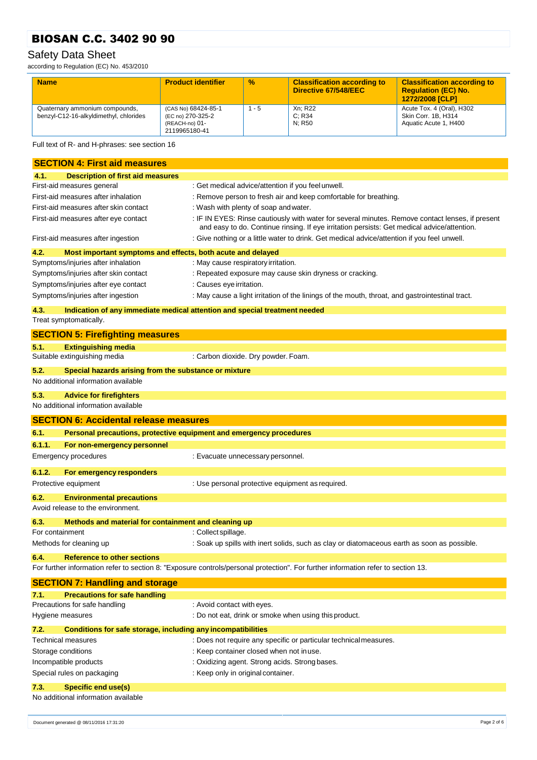### Safety Data Sheet

according to Regulation (EC) No. 453/2010

| <b>Name</b>                                                              | <b>Product identifier</b>                                                   | $\frac{9}{6}$ | <b>Classification according to</b><br>Directive 67/548/EEC | <b>Classification according to</b><br><b>Regulation (EC) No.</b><br>1272/2008 [CLP] |
|--------------------------------------------------------------------------|-----------------------------------------------------------------------------|---------------|------------------------------------------------------------|-------------------------------------------------------------------------------------|
| Quaternary ammonium compounds,<br>benzyl-C12-16-alkyldimethyl, chlorides | (CAS No) 68424-85-1<br>(EC no) 270-325-2<br>(REACH-no) 01-<br>2119965180-41 | $1 - 5$       | Xn: R22<br>C: R34<br>N: R50                                | Acute Tox. 4 (Oral), H302<br>Skin Corr. 1B, H314<br>Aquatic Acute 1, H400           |

Full text of R- and H-phrases: see section 16

|                 | <b>SECTION 4: First aid measures</b>                                |                                                                                                                                                                                                 |  |  |
|-----------------|---------------------------------------------------------------------|-------------------------------------------------------------------------------------------------------------------------------------------------------------------------------------------------|--|--|
| 4.1.            | <b>Description of first aid measures</b>                            |                                                                                                                                                                                                 |  |  |
|                 | First-aid measures general                                          | : Get medical advice/attention if you feel unwell.                                                                                                                                              |  |  |
|                 | First-aid measures after inhalation                                 | : Remove person to fresh air and keep comfortable for breathing.                                                                                                                                |  |  |
|                 | First-aid measures after skin contact                               | : Wash with plenty of soap and water.                                                                                                                                                           |  |  |
|                 | First-aid measures after eye contact                                | : IF IN EYES: Rinse cautiously with water for several minutes. Remove contact lenses, if present<br>and easy to do. Continue rinsing. If eye irritation persists: Get medical advice/attention. |  |  |
|                 | First-aid measures after ingestion                                  | : Give nothing or a little water to drink. Get medical advice/attention if you feel unwell.                                                                                                     |  |  |
| 4.2.            | Most important symptoms and effects, both acute and delayed         |                                                                                                                                                                                                 |  |  |
|                 | Symptoms/injuries after inhalation                                  | : May cause respiratory irritation.                                                                                                                                                             |  |  |
|                 | Symptoms/injuries after skin contact                                | : Repeated exposure may cause skin dryness or cracking.                                                                                                                                         |  |  |
|                 | Symptoms/injuries after eye contact                                 | : Causes eye irritation.                                                                                                                                                                        |  |  |
|                 | Symptoms/injuries after ingestion                                   | : May cause a light irritation of the linings of the mouth, throat, and gastrointestinal tract.                                                                                                 |  |  |
| 4.3.            |                                                                     | Indication of any immediate medical attention and special treatment needed                                                                                                                      |  |  |
|                 | Treat symptomatically.                                              |                                                                                                                                                                                                 |  |  |
|                 | <b>SECTION 5: Firefighting measures</b>                             |                                                                                                                                                                                                 |  |  |
| 5.1.            | <b>Extinguishing media</b>                                          |                                                                                                                                                                                                 |  |  |
|                 | Suitable extinguishing media                                        | : Carbon dioxide. Dry powder. Foam.                                                                                                                                                             |  |  |
| 5.2.            | Special hazards arising from the substance or mixture               |                                                                                                                                                                                                 |  |  |
|                 | No additional information available                                 |                                                                                                                                                                                                 |  |  |
| 5.3.            | <b>Advice for firefighters</b>                                      |                                                                                                                                                                                                 |  |  |
|                 | No additional information available                                 |                                                                                                                                                                                                 |  |  |
|                 | <b>SECTION 6: Accidental release measures</b>                       |                                                                                                                                                                                                 |  |  |
| 6.1.            | Personal precautions, protective equipment and emergency procedures |                                                                                                                                                                                                 |  |  |
| 6.1.1.          | For non-emergency personnel                                         |                                                                                                                                                                                                 |  |  |
|                 | <b>Emergency procedures</b>                                         | : Evacuate unnecessary personnel.                                                                                                                                                               |  |  |
| 6.1.2.          | For emergency responders                                            |                                                                                                                                                                                                 |  |  |
|                 | Protective equipment                                                | : Use personal protective equipment as required.                                                                                                                                                |  |  |
| 6.2.            | <b>Environmental precautions</b>                                    |                                                                                                                                                                                                 |  |  |
|                 | Avoid release to the environment.                                   |                                                                                                                                                                                                 |  |  |
| 6.3.            | Methods and material for containment and cleaning up                |                                                                                                                                                                                                 |  |  |
| For containment |                                                                     | : Collect spillage.                                                                                                                                                                             |  |  |
|                 | Methods for cleaning up                                             | : Soak up spills with inert solids, such as clay or diatomaceous earth as soon as possible.                                                                                                     |  |  |
| 6.4.            | <b>Reference to other sections</b>                                  |                                                                                                                                                                                                 |  |  |
|                 |                                                                     | For further information refer to section 8: "Exposure controls/personal protection". For further information refer to section 13.                                                               |  |  |
|                 | <b>SECTION 7: Handling and storage</b>                              |                                                                                                                                                                                                 |  |  |
| 7.1.            | <b>Precautions for safe handling</b>                                |                                                                                                                                                                                                 |  |  |
|                 | Precautions for safe handling                                       | : Avoid contact with eyes.                                                                                                                                                                      |  |  |
|                 | Hygiene measures                                                    | : Do not eat, drink or smoke when using this product.                                                                                                                                           |  |  |
| 7.2.            | Conditions for safe storage, including any incompatibilities        |                                                                                                                                                                                                 |  |  |
|                 | <b>Technical measures</b>                                           | : Does not require any specific or particular technical measures.                                                                                                                               |  |  |
|                 | Storage conditions                                                  | : Keep container closed when not in use.                                                                                                                                                        |  |  |
|                 | Incompatible products                                               | : Oxidizing agent. Strong acids. Strong bases.                                                                                                                                                  |  |  |
|                 | Special rules on packaging                                          | : Keep only in original container.                                                                                                                                                              |  |  |
| 7.3.            | <b>Specific end use(s)</b>                                          |                                                                                                                                                                                                 |  |  |
|                 | No additional information available                                 |                                                                                                                                                                                                 |  |  |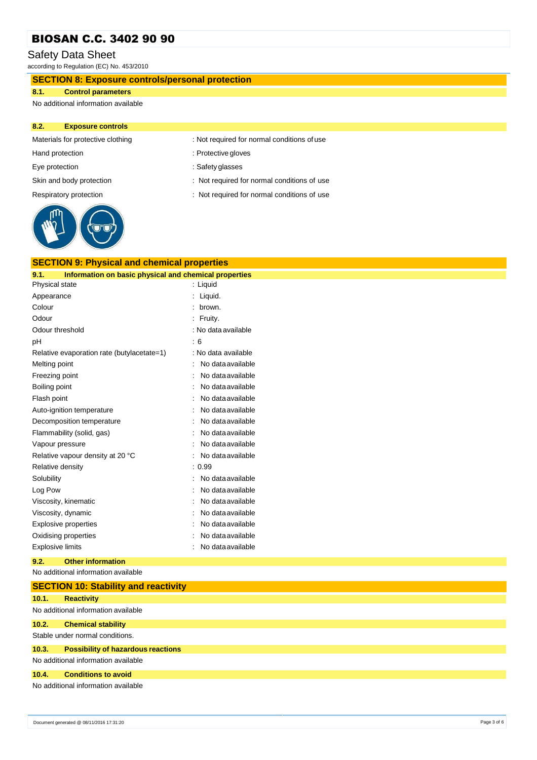#### Safety Data Sheet

according to Regulation (EC) No. 453/2010

#### **SECTION 8: Exposure controls/personal protection**

#### **8.1. Control parameters**

No additional information available

#### **8.2. Exposure controls**



| <b>SECTION 9: Physical and chemical properties</b>            |                     |  |  |
|---------------------------------------------------------------|---------------------|--|--|
| Information on basic physical and chemical properties<br>9.1. |                     |  |  |
| Physical state                                                | : Liquid            |  |  |
| Appearance                                                    | Liquid.             |  |  |
| Colour                                                        | brown.              |  |  |
| Odour                                                         | Fruity.             |  |  |
| Odour threshold                                               | : No data available |  |  |
| рH                                                            | : 6                 |  |  |
| Relative evaporation rate (butylacetate=1)                    | : No data available |  |  |
| Melting point                                                 | No data available   |  |  |
| Freezing point                                                | No data available   |  |  |
| Boiling point                                                 | No data available   |  |  |
| Flash point                                                   | No data available   |  |  |
| Auto-ignition temperature                                     | No data available   |  |  |
| Decomposition temperature                                     | No data available   |  |  |
| Flammability (solid, gas)                                     | No data available   |  |  |
| Vapour pressure                                               | No data available   |  |  |
| Relative vapour density at 20 °C                              | No data available   |  |  |
| Relative density                                              | : 0.99              |  |  |
| Solubility                                                    | No data available   |  |  |
| Log Pow                                                       | No data available   |  |  |
| Viscosity, kinematic                                          | No data available   |  |  |
| Viscosity, dynamic                                            | No data available   |  |  |
| <b>Explosive properties</b>                                   | No data available   |  |  |
| Oxidising properties                                          | No data available   |  |  |
| <b>Explosive limits</b>                                       | No data available   |  |  |

#### **9.2. Other information**

No additional information available

|                                     | <b>SECTION 10: Stability and reactivity</b> |  |  |
|-------------------------------------|---------------------------------------------|--|--|
| 10.1.                               | <b>Reactivity</b>                           |  |  |
|                                     | No additional information available         |  |  |
| 10.2.                               | <b>Chemical stability</b>                   |  |  |
|                                     | Stable under normal conditions.             |  |  |
| 10.3.                               | <b>Possibility of hazardous reactions</b>   |  |  |
|                                     | No additional information available         |  |  |
| 10.4.                               | <b>Conditions to avoid</b>                  |  |  |
| No additional information available |                                             |  |  |

- Materials for protective clothing : Not required for normal conditions of use
- Hand protection **in the contract of the contract of the contract of the contract of the contract of the contract of the contract of the contract of the contract of the contract of the contract of the contract of the contra**
- Eye protection  $\qquad \qquad$ : Safety glasses
- Skin and body protection : Not required for normal conditions of use
- Respiratory protection : Not required for normal conditions of use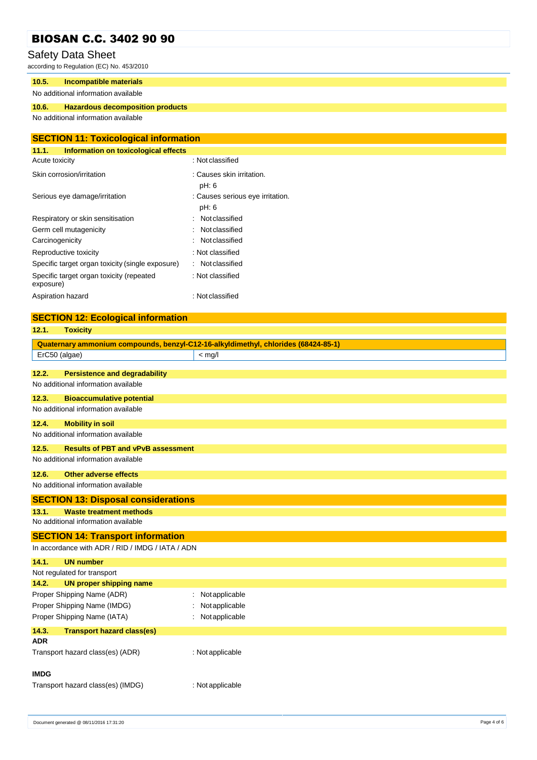#### Safety Data Sheet

according to Regulation (EC) No. 453/2010

#### **10.5. Incompatible materials**

#### No additional information available

#### **10.6. Hazardous decomposition products**

No additional information available

| <b>SECTION 11: Toxicological information</b>          |                                           |  |
|-------------------------------------------------------|-------------------------------------------|--|
| 11.1.<br>Information on toxicological effects         |                                           |  |
| Acute toxicity                                        | : Not classified                          |  |
| Skin corrosion/irritation                             | : Causes skin irritation.<br>pH: 6        |  |
| Serious eye damage/irritation                         | : Causes serious eye irritation.<br>pH: 6 |  |
| Respiratory or skin sensitisation                     | Not classified                            |  |
| Germ cell mutagenicity                                | Not classified<br>$\bullet$               |  |
| Carcinogenicity                                       | Not classified                            |  |
| Reproductive toxicity                                 | : Not classified                          |  |
| Specific target organ toxicity (single exposure)      | : Notclassified                           |  |
| Specific target organ toxicity (repeated<br>exposure) | : Not classified                          |  |
| Aspiration hazard                                     | : Not classified                          |  |

#### **SECTION 12: Ecological information**

| 12.1.         | <b>Toxicity</b>                                  |                                                                                    |
|---------------|--------------------------------------------------|------------------------------------------------------------------------------------|
|               |                                                  | Quaternary ammonium compounds, benzyl-C12-16-alkyldimethyl, chlorides (68424-85-1) |
| ErC50 (algae) |                                                  | $<$ mg/l                                                                           |
|               |                                                  |                                                                                    |
| 12.2.         | <b>Persistence and degradability</b>             |                                                                                    |
|               | No additional information available              |                                                                                    |
| 12.3.         | <b>Bioaccumulative potential</b>                 |                                                                                    |
|               | No additional information available              |                                                                                    |
| 12.4.         | <b>Mobility in soil</b>                          |                                                                                    |
|               | No additional information available              |                                                                                    |
| 12.5.         | <b>Results of PBT and vPvB assessment</b>        |                                                                                    |
|               | No additional information available              |                                                                                    |
| 12.6.         | <b>Other adverse effects</b>                     |                                                                                    |
|               | No additional information available              |                                                                                    |
|               | <b>SECTION 13: Disposal considerations</b>       |                                                                                    |
| 13.1.         | <b>Waste treatment methods</b>                   |                                                                                    |
|               | No additional information available              |                                                                                    |
|               | <b>SECTION 14: Transport information</b>         |                                                                                    |
|               | In accordance with ADR / RID / IMDG / IATA / ADN |                                                                                    |
| 14.1.         | <b>UN number</b>                                 |                                                                                    |
|               | Not regulated for transport                      |                                                                                    |
| 14.2.         | <b>UN proper shipping name</b>                   |                                                                                    |
|               | Proper Shipping Name (ADR)                       | Not applicable                                                                     |
|               | Proper Shipping Name (IMDG)                      | Notapplicable                                                                      |
|               | Proper Shipping Name (IATA)                      | Not applicable                                                                     |
| 14.3.         | <b>Transport hazard class(es)</b>                |                                                                                    |
| ADR.          |                                                  |                                                                                    |
|               | Transport hazard class(es) (ADR)                 | : Not applicable                                                                   |
| <b>IMDG</b>   |                                                  |                                                                                    |
|               | Transport hazard class(es) (IMDG)                | : Not applicable                                                                   |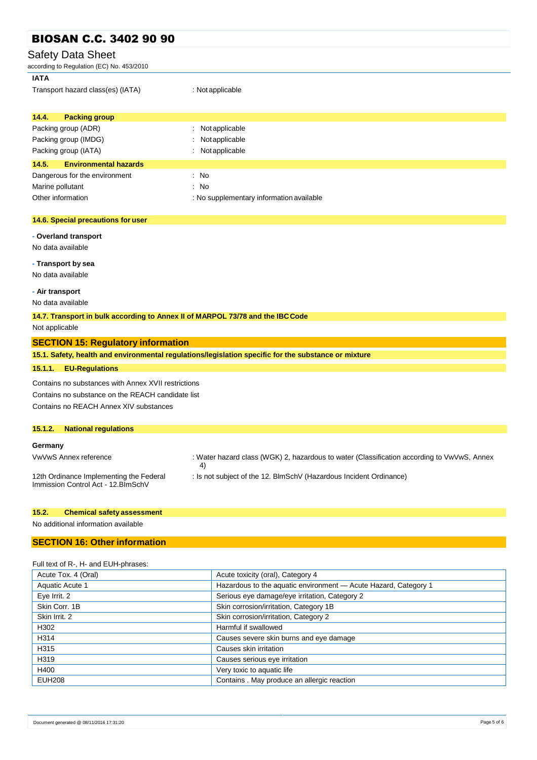| <b>BIOSAN C.C. 3402 90 90</b>                                                  |                                                                                                      |  |  |
|--------------------------------------------------------------------------------|------------------------------------------------------------------------------------------------------|--|--|
| <b>Safety Data Sheet</b>                                                       |                                                                                                      |  |  |
| according to Regulation (EC) No. 453/2010                                      |                                                                                                      |  |  |
| <b>IATA</b>                                                                    |                                                                                                      |  |  |
| Transport hazard class(es) (IATA)                                              | : Not applicable                                                                                     |  |  |
| 14.4.<br><b>Packing group</b>                                                  |                                                                                                      |  |  |
| Packing group (ADR)                                                            | Not applicable                                                                                       |  |  |
| Packing group (IMDG)                                                           | Notapplicable                                                                                        |  |  |
| Packing group (IATA)                                                           | Not applicable                                                                                       |  |  |
| 14.5.<br><b>Environmental hazards</b>                                          |                                                                                                      |  |  |
| Dangerous for the environment                                                  | : No                                                                                                 |  |  |
| Marine pollutant                                                               | : No                                                                                                 |  |  |
| Other information                                                              | : No supplementary information available                                                             |  |  |
|                                                                                |                                                                                                      |  |  |
| 14.6. Special precautions for user                                             |                                                                                                      |  |  |
| - Overland transport                                                           |                                                                                                      |  |  |
| No data available                                                              |                                                                                                      |  |  |
|                                                                                |                                                                                                      |  |  |
| - Transport by sea                                                             |                                                                                                      |  |  |
| No data available                                                              |                                                                                                      |  |  |
| - Air transport                                                                |                                                                                                      |  |  |
| No data available                                                              |                                                                                                      |  |  |
| 14.7. Transport in bulk according to Annex II of MARPOL 73/78 and the IBC Code |                                                                                                      |  |  |
| Not applicable                                                                 |                                                                                                      |  |  |
| <b>SECTION 15: Regulatory information</b>                                      |                                                                                                      |  |  |
|                                                                                | 15.1. Safety, health and environmental regulations/legislation specific for the substance or mixture |  |  |
| <b>EU-Regulations</b><br>15.1.1.                                               |                                                                                                      |  |  |
| Contains no substances with Annex XVII restrictions                            |                                                                                                      |  |  |
| Contains no substance on the REACH candidate list                              |                                                                                                      |  |  |
| Contains no REACH Annex XIV substances                                         |                                                                                                      |  |  |
|                                                                                |                                                                                                      |  |  |
| 15.1.2.<br><b>National regulations</b>                                         |                                                                                                      |  |  |
| Germany                                                                        |                                                                                                      |  |  |
| VwVwS Annex reference                                                          | : Water hazard class (WGK) 2, hazardous to water (Classification according to VwVwS, Annex<br>4)     |  |  |
| 12th Ordinance Implementing the Federal                                        | : Is not subject of the 12. BlmSchV (Hazardous Incident Ordinance)                                   |  |  |
| Immission Control Act - 12. BlmSchV                                            |                                                                                                      |  |  |
|                                                                                |                                                                                                      |  |  |
| 15.2.<br><b>Chemical safety assessment</b>                                     |                                                                                                      |  |  |

No additional information available

#### **SECTION 16: Other information**

|  |  |  | Full text of R-, H- and EUH-phrases: |
|--|--|--|--------------------------------------|
|--|--|--|--------------------------------------|

| Acute Tox. 4 (Oral) | Acute toxicity (oral), Category 4                               |
|---------------------|-----------------------------------------------------------------|
| Aquatic Acute 1     | Hazardous to the aquatic environment - Acute Hazard, Category 1 |
| Eye Irrit. 2        | Serious eye damage/eye irritation, Category 2                   |
| Skin Corr. 1B       | Skin corrosion/irritation, Category 1B                          |
| Skin Irrit. 2       | Skin corrosion/irritation, Category 2                           |
| H302                | Harmful if swallowed                                            |
| H314                | Causes severe skin burns and eye damage                         |
| H315                | Causes skin irritation                                          |
| H319                | Causes serious eye irritation                                   |
| H400                | Very toxic to aquatic life                                      |
| <b>EUH208</b>       | Contains . May produce an allergic reaction                     |